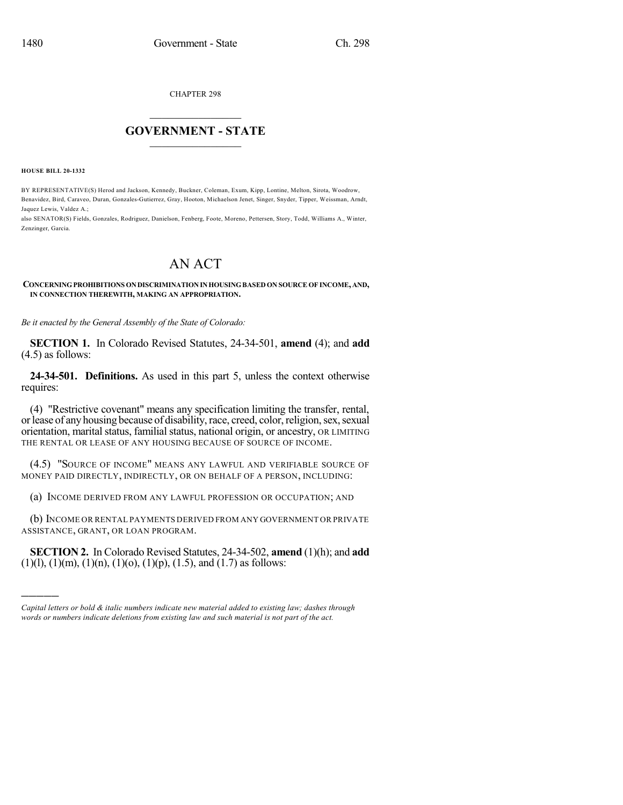CHAPTER 298

## $\mathcal{L}_\text{max}$  . The set of the set of the set of the set of the set of the set of the set of the set of the set of the set of the set of the set of the set of the set of the set of the set of the set of the set of the set **GOVERNMENT - STATE**  $\_$   $\_$   $\_$   $\_$   $\_$   $\_$   $\_$   $\_$   $\_$

**HOUSE BILL 20-1332**

)))))

BY REPRESENTATIVE(S) Herod and Jackson, Kennedy, Buckner, Coleman, Exum, Kipp, Lontine, Melton, Sirota, Woodrow, Benavidez, Bird, Caraveo, Duran, Gonzales-Gutierrez, Gray, Hooton, Michaelson Jenet, Singer, Snyder, Tipper, Weissman, Arndt, Jaquez Lewis, Valdez A.;

also SENATOR(S) Fields, Gonzales, Rodriguez, Danielson, Fenberg, Foote, Moreno, Pettersen, Story, Todd, Williams A., Winter, Zenzinger, Garcia.

## AN ACT

**CONCERNINGPROHIBITIONS ONDISCRIMINATIONINHOUSINGBASED ON SOURCE OF INCOME, AND, IN CONNECTION THEREWITH, MAKING AN APPROPRIATION.**

*Be it enacted by the General Assembly of the State of Colorado:*

**SECTION 1.** In Colorado Revised Statutes, 24-34-501, **amend** (4); and **add** (4.5) as follows:

**24-34-501. Definitions.** As used in this part 5, unless the context otherwise requires:

(4) "Restrictive covenant" means any specification limiting the transfer, rental, or lease of any housing because of disability, race, creed, color, religion, sex, sexual orientation, marital status, familial status, national origin, or ancestry, OR LIMITING THE RENTAL OR LEASE OF ANY HOUSING BECAUSE OF SOURCE OF INCOME.

(4.5) "SOURCE OF INCOME" MEANS ANY LAWFUL AND VERIFIABLE SOURCE OF MONEY PAID DIRECTLY, INDIRECTLY, OR ON BEHALF OF A PERSON, INCLUDING:

(a) INCOME DERIVED FROM ANY LAWFUL PROFESSION OR OCCUPATION; AND

(b) INCOME OR RENTAL PAYMENTS DERIVED FROM ANY GOVERNMENT OR PRIVATE ASSISTANCE, GRANT, OR LOAN PROGRAM.

**SECTION 2.** In Colorado Revised Statutes, 24-34-502, **amend** (1)(h); and **add**  $(1)(l)$ ,  $(1)(m)$ ,  $(1)(n)$ ,  $(1)(o)$ ,  $(1)(p)$ ,  $(1.5)$ , and  $(1.7)$  as follows:

*Capital letters or bold & italic numbers indicate new material added to existing law; dashes through words or numbers indicate deletions from existing law and such material is not part of the act.*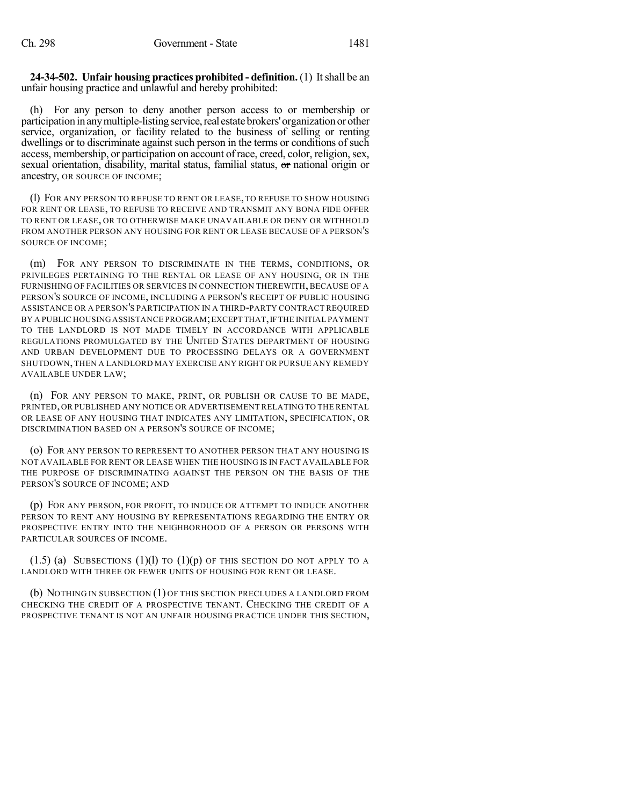**24-34-502. Unfair housing practices prohibited - definition.** (1) Itshall be an unfair housing practice and unlawful and hereby prohibited:

(h) For any person to deny another person access to or membership or participation in any multiple-listing service, real estate brokers' organization or other service, organization, or facility related to the business of selling or renting dwellings or to discriminate against such person in the terms or conditions of such access, membership, or participation on account of race, creed, color, religion, sex, sexual orientation, disability, marital status, familial status, or national origin or ancestry, OR SOURCE OF INCOME;

(l) FOR ANY PERSON TO REFUSE TO RENT OR LEASE, TO REFUSE TO SHOW HOUSING FOR RENT OR LEASE, TO REFUSE TO RECEIVE AND TRANSMIT ANY BONA FIDE OFFER TO RENT OR LEASE, OR TO OTHERWISE MAKE UNAVAILABLE OR DENY OR WITHHOLD FROM ANOTHER PERSON ANY HOUSING FOR RENT OR LEASE BECAUSE OF A PERSON'S SOURCE OF INCOME;

(m) FOR ANY PERSON TO DISCRIMINATE IN THE TERMS, CONDITIONS, OR PRIVILEGES PERTAINING TO THE RENTAL OR LEASE OF ANY HOUSING, OR IN THE FURNISHING OF FACILITIES OR SERVICES IN CONNECTION THEREWITH, BECAUSE OF A PERSON'S SOURCE OF INCOME, INCLUDING A PERSON'S RECEIPT OF PUBLIC HOUSING ASSISTANCE OR A PERSON'S PARTICIPATION IN A THIRD-PARTY CONTRACT REQUIRED BY A PUBLIC HOUSING ASSISTANCE PROGRAM; EXCEPT THAT, IF THE INITIAL PAYMENT TO THE LANDLORD IS NOT MADE TIMELY IN ACCORDANCE WITH APPLICABLE REGULATIONS PROMULGATED BY THE UNITED STATES DEPARTMENT OF HOUSING AND URBAN DEVELOPMENT DUE TO PROCESSING DELAYS OR A GOVERNMENT SHUTDOWN, THEN A LANDLORD MAY EXERCISE ANY RIGHT OR PURSUE ANY REMEDY AVAILABLE UNDER LAW;

(n) FOR ANY PERSON TO MAKE, PRINT, OR PUBLISH OR CAUSE TO BE MADE, PRINTED, OR PUBLISHED ANY NOTICE OR ADVERTISEMENT RELATING TO THE RENTAL OR LEASE OF ANY HOUSING THAT INDICATES ANY LIMITATION, SPECIFICATION, OR DISCRIMINATION BASED ON A PERSON'S SOURCE OF INCOME;

(o) FOR ANY PERSON TO REPRESENT TO ANOTHER PERSON THAT ANY HOUSING IS NOT AVAILABLE FOR RENT OR LEASE WHEN THE HOUSING IS IN FACT AVAILABLE FOR THE PURPOSE OF DISCRIMINATING AGAINST THE PERSON ON THE BASIS OF THE PERSON'S SOURCE OF INCOME; AND

(p) FOR ANY PERSON, FOR PROFIT, TO INDUCE OR ATTEMPT TO INDUCE ANOTHER PERSON TO RENT ANY HOUSING BY REPRESENTATIONS REGARDING THE ENTRY OR PROSPECTIVE ENTRY INTO THE NEIGHBORHOOD OF A PERSON OR PERSONS WITH PARTICULAR SOURCES OF INCOME.

 $(1.5)$  (a) SUBSECTIONS  $(1)(1)$  to  $(1)(p)$  of this section do not apply to a LANDLORD WITH THREE OR FEWER UNITS OF HOUSING FOR RENT OR LEASE.

(b) NOTHING IN SUBSECTION (1) OF THIS SECTION PRECLUDES A LANDLORD FROM CHECKING THE CREDIT OF A PROSPECTIVE TENANT. CHECKING THE CREDIT OF A PROSPECTIVE TENANT IS NOT AN UNFAIR HOUSING PRACTICE UNDER THIS SECTION,